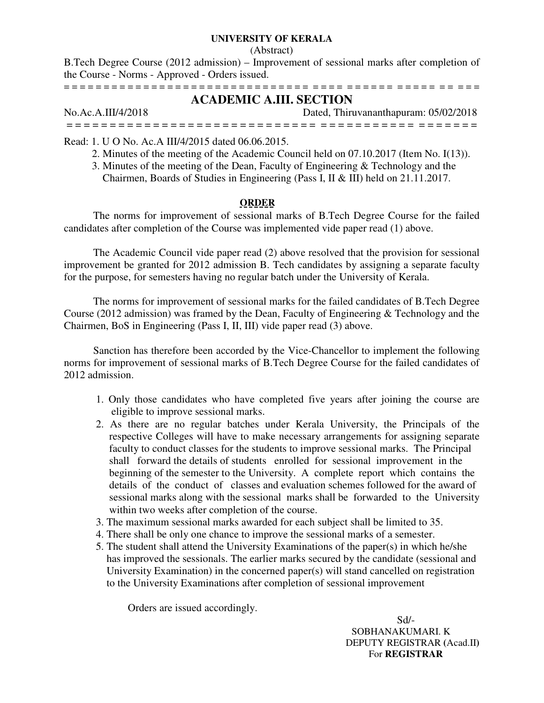### **UNIVERSITY OF KERALA**

#### (Abstract)

B.Tech Degree Course (2012 admission) – Improvement of sessional marks after completion of the Course - Norms - Approved - Orders issued.

= = = = = = = = = = = = = = = = = = = = = = = = = = = = = = = = = = = = = = = = = = = = = = = = = = =

# **ACADEMIC A.III. SECTION**

No.Ac.A.III/4/2018 Dated, Thiruvananthapuram: 05/02/2018 = = = = = = = = = = = = = = = = = = = = = = = = = = = = = = = = = = = = = = = = = = = = = = =

Read: 1. U O No. Ac.A III/4/2015 dated 06.06.2015.

- 2. Minutes of the meeting of the Academic Council held on 07.10.2017 (Item No. I(13)).
- 3. Minutes of the meeting of the Dean, Faculty of Engineering & Technology and the Chairmen, Boards of Studies in Engineering (Pass I, II & III) held on 21.11.2017.

# **ORDER**

 The norms for improvement of sessional marks of B.Tech Degree Course for the failed candidates after completion of the Course was implemented vide paper read (1) above.

 The Academic Council vide paper read (2) above resolved that the provision for sessional improvement be granted for 2012 admission B. Tech candidates by assigning a separate faculty for the purpose, for semesters having no regular batch under the University of Kerala.

 The norms for improvement of sessional marks for the failed candidates of B.Tech Degree Course (2012 admission) was framed by the Dean, Faculty of Engineering & Technology and the Chairmen, BoS in Engineering (Pass I, II, III) vide paper read (3) above.

 Sanction has therefore been accorded by the Vice-Chancellor to implement the following norms for improvement of sessional marks of B.Tech Degree Course for the failed candidates of 2012 admission.

- 1. Only those candidates who have completed five years after joining the course are eligible to improve sessional marks.
- 2. As there are no regular batches under Kerala University, the Principals of the respective Colleges will have to make necessary arrangements for assigning separate faculty to conduct classes for the students to improve sessional marks. The Principal shall forward the details of students enrolled for sessional improvement in the beginning of the semester to the University. A complete report which contains the details of the conduct of classes and evaluation schemes followed for the award of sessional marks along with the sessional marks shall be forwarded to the University within two weeks after completion of the course.
- 3. The maximum sessional marks awarded for each subject shall be limited to 35.
- 4. There shall be only one chance to improve the sessional marks of a semester.
- 5. The student shall attend the University Examinations of the paper(s) in which he/she has improved the sessionals. The earlier marks secured by the candidate (sessional and University Examination) in the concerned paper(s) will stand cancelled on registration to the University Examinations after completion of sessional improvement

Orders are issued accordingly.

 Sd/- SOBHANAKUMARI. K DEPUTY REGISTRAR **(**Acad.II**)**  For **REGISTRAR**